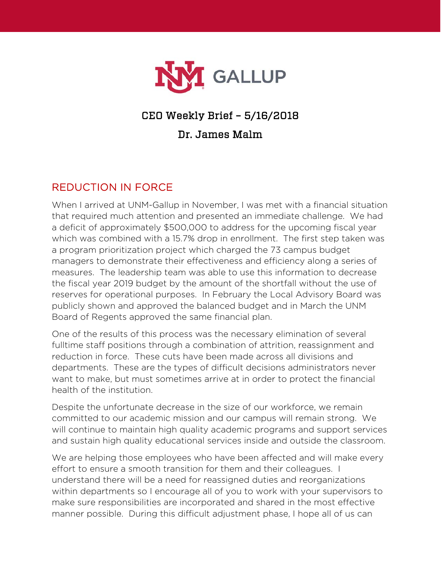

## CEO Weekly Brief – 5/16/2018

## Dr. James Malm

## REDUCTION IN FORCE

When I arrived at UNM-Gallup in November, I was met with a financial situation that required much attention and presented an immediate challenge. We had a deficit of approximately \$500,000 to address for the upcoming fiscal year which was combined with a 15.7% drop in enrollment. The first step taken was a program prioritization project which charged the 73 campus budget managers to demonstrate their effectiveness and efficiency along a series of measures. The leadership team was able to use this information to decrease the fiscal year 2019 budget by the amount of the shortfall without the use of reserves for operational purposes. In February the Local Advisory Board was publicly shown and approved the balanced budget and in March the UNM Board of Regents approved the same financial plan.

One of the results of this process was the necessary elimination of several fulltime staff positions through a combination of attrition, reassignment and reduction in force. These cuts have been made across all divisions and departments. These are the types of difficult decisions administrators never want to make, but must sometimes arrive at in order to protect the financial health of the institution.

Despite the unfortunate decrease in the size of our workforce, we remain committed to our academic mission and our campus will remain strong. We will continue to maintain high quality academic programs and support services and sustain high quality educational services inside and outside the classroom.

We are helping those employees who have been affected and will make every effort to ensure a smooth transition for them and their colleagues. I understand there will be a need for reassigned duties and reorganizations within departments so I encourage all of you to work with your supervisors to make sure responsibilities are incorporated and shared in the most effective manner possible. During this difficult adjustment phase, I hope all of us can